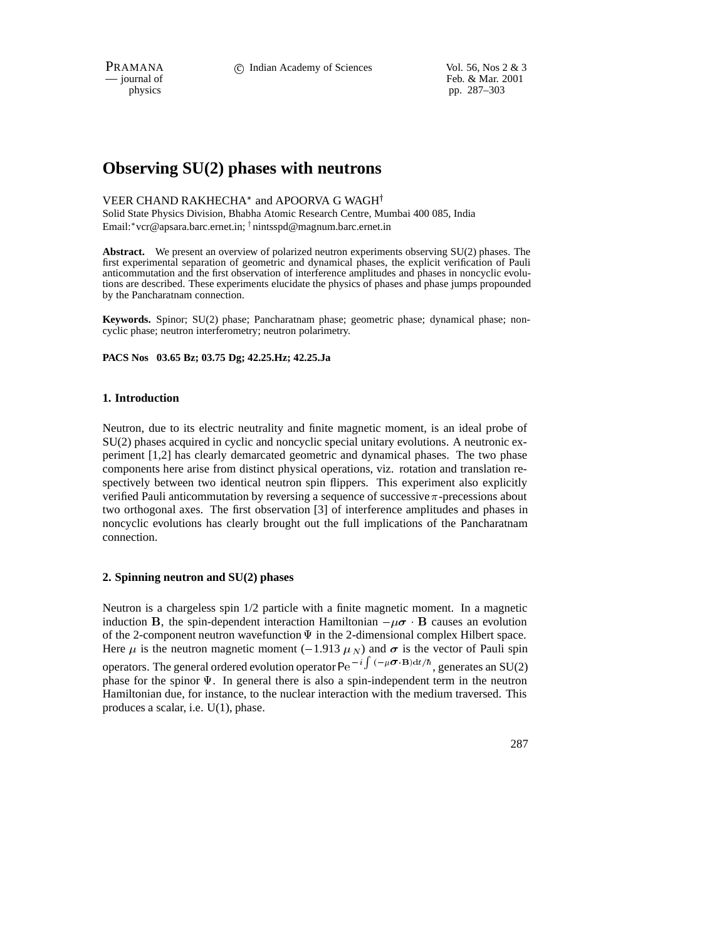PRAMANA 
<sup>c</sup> Indian Academy of Sciences Vol. 56, Nos 2 & 3<br>  $-$  journal of Feb. & Mar. 2001 Feb. & Mar. 2001 physics pp. 287–303

# **Observing SU(2) phases with neutrons**

# VEER CHAND RAKHECHA\* and APOORVA G WAGH<sup>†</sup>

Solid State Physics Division, Bhabha Atomic Research Centre, Mumbai 400 085, India Email: \*vcr@apsara.barc.ernet.in; <sup>†</sup> nintsspd@magnum.barc.ernet.in

**Abstract.** We present an overview of polarized neutron experiments observing SU(2) phases. The first experimental separation of geometric and dynamical phases, the explicit verification of Pauli anticommutation and the first observation of interference amplitudes and phases in noncyclic evolutions are described. These experiments elucidate the physics of phases and phase jumps propounded by the Pancharatnam connection.

**Keywords.** Spinor; SU(2) phase; Pancharatnam phase; geometric phase; dynamical phase; noncyclic phase; neutron interferometry; neutron polarimetry.

**PACS Nos 03.65 Bz; 03.75 Dg; 42.25.Hz; 42.25.Ja**

# **1. Introduction**

Neutron, due to its electric neutrality and finite magnetic moment, is an ideal probe of SU(2) phases acquired in cyclic and noncyclic special unitary evolutions. A neutronic experiment [1,2] has clearly demarcated geometric and dynamical phases. The two phase components here arise from distinct physical operations, viz. rotation and translation respectively between two identical neutron spin flippers. This experiment also explicitly verified Pauli anticommutation by reversing a sequence of successive  $\pi$ -precessions about two orthogonal axes. The first observation [3] of interference amplitudes and phases in noncyclic evolutions has clearly brought out the full implications of the Pancharatnam connection.

# **2. Spinning neutron and SU(2) phases**

Neutron is a chargeless spin 1/2 particle with a finite magnetic moment. In a magnetic induction B, the spin-dependent interaction Hamiltonian  $-\mu\sigma \cdot \mathbf{B}$  causes an evolution of the 2-component neutron wavefunction  $\Psi$  in the 2-dimensional complex Hilbert space. Here  $\mu$  is the neutron magnetic moment (-1.913  $\mu$ <sub>N</sub>) and  $\sigma$  is the vector of Pauli spin operators. The general ordered evolution operator Pe<sup> $-i \int_{-\pi}^{\pi} (-\mu \sigma \cdot B) dt / \hbar$ , generates an SU(2)</sup> phase for the spinor  $\Psi$ . In general there is also a spin-independent term in the neutron Hamiltonian due, for instance, to the nuclear interaction with the medium traversed. This produces a scalar, i.e. U(1), phase.

287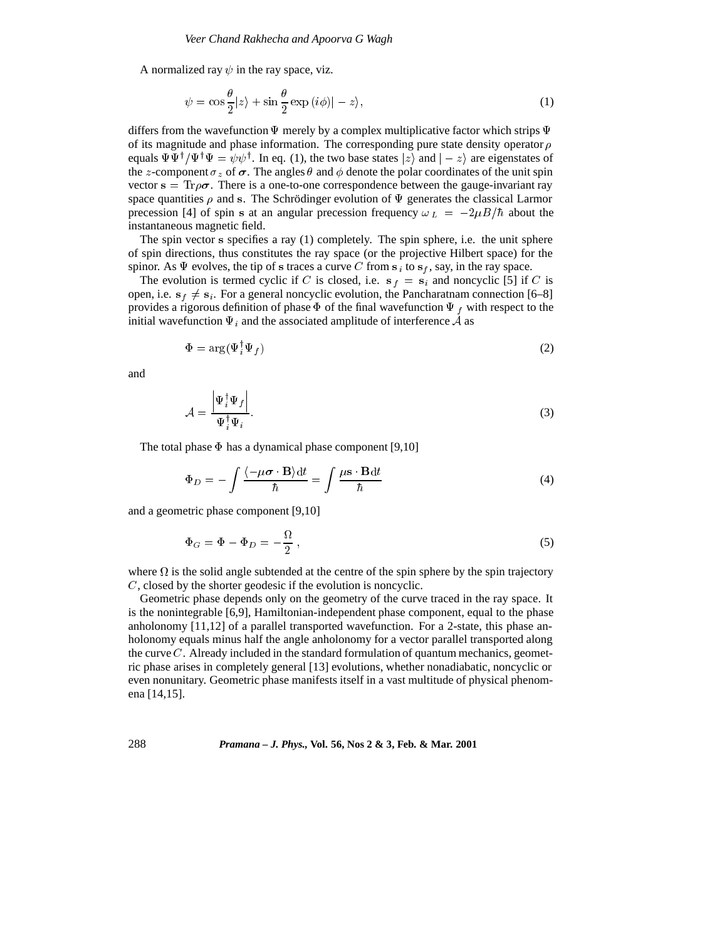A normalized ray  $\psi$  in the ray space, viz.

$$
\psi = \cos \frac{\theta}{2} |z\rangle + \sin \frac{\theta}{2} \exp (i\phi) | - z\rangle,
$$
\n(1)

differs from the wavefunction  $\Psi$  merely by a complex multiplicative factor which strips  $\Psi$ of its magnitude and phase information. The corresponding pure state density operator  $\rho$ equals  $\Psi\Psi^{\dagger}/\Psi^{\dagger}\Psi=\psi\psi^{\dagger}$ . In eq. (1), the two base states  $|z\rangle$  and  $|-z\rangle$  are eigenstates of the z-component  $\sigma_z$  of  $\sigma$ . The angles  $\theta$  and  $\phi$  denote the polar coordinates of the unit spin vector  $s = Tr \rho \sigma$ . There is a one-to-one correspondence between the gauge-invariant ray space quantities  $\rho$  and s. The Schrödinger evolution of  $\Psi$  generates the classical Larmor precession [4] of spin s at an angular precession frequency  $\omega_L = -2\mu B/\hbar$  about the instantaneous magnetic field.

The spin vector <sup>s</sup> specifies a ray (1) completely. The spin sphere, i.e. the unit sphere of spin directions, thus constitutes the ray space (or the projective Hilbert space) for the spinor. As  $\Psi$  evolves, the tip of s traces a curve C from  $s_i$  to  $s_f$ , say, in the ray space.

The evolution is termed cyclic if C is closed, i.e.  $s_f = s_i$  and noncyclic [5] if C is open, i.e.  $s_f \neq s_i$ . For a general noncyclic evolution, the Pancharatnam connection [6–8] provides a rigorous definition of phase  $\Phi$  of the final wavefunction  $\Psi_f$  with respect to the initial wavefunction  $\Psi_i$  and the associated amplitude of interference A as

$$
\Phi = \arg(\Psi_i^{\dagger} \Psi_f) \tag{2}
$$

and

$$
\mathcal{A} = \frac{\left| \Psi_i^{\dagger} \Psi_f \right|}{\Psi_i^{\dagger} \Psi_i}.
$$
\n(3)

The total phase  $\Phi$  has a dynamical phase component [9,10]

$$
\Phi_D = -\int \frac{\langle -\mu \sigma \cdot \mathbf{B} \rangle dt}{\hbar} = \int \frac{\mu \mathbf{s} \cdot \mathbf{B} dt}{\hbar} \tag{4}
$$

and a geometric phase component [9,10]

$$
\Phi_G = \Phi - \Phi_D = -\frac{\Omega}{2},\tag{5}
$$

where  $\Omega$  is the solid angle subtended at the centre of the spin sphere by the spin trajectory <sup>C</sup>, closed by the shorter geodesic if the evolution is noncyclic.

Geometric phase depends only on the geometry of the curve traced in the ray space. It is the nonintegrable [6,9], Hamiltonian-independent phase component, equal to the phase anholonomy [11,12] of a parallel transported wavefunction. For a 2-state, this phase anholonomy equals minus half the angle anholonomy for a vector parallel transported along the curve  $C$ . Already included in the standard formulation of quantum mechanics, geometric phase arises in completely general [13] evolutions, whether nonadiabatic, noncyclic or even nonunitary. Geometric phase manifests itself in a vast multitude of physical phenomena [14,15].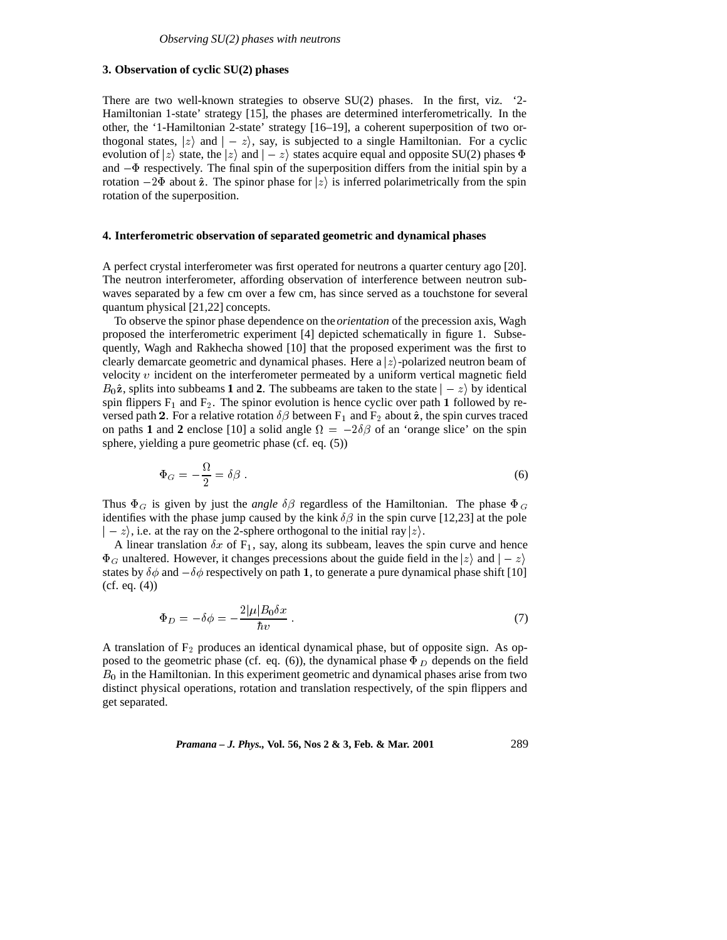# **3. Observation of cyclic SU(2) phases**

There are two well-known strategies to observe  $SU(2)$  phases. In the first, viz. '2-Hamiltonian 1-state' strategy [15], the phases are determined interferometrically. In the other, the '1-Hamiltonian 2-state' strategy [16–19], a coherent superposition of two orthogonal states,  $|z\rangle$  and  $|-z\rangle$ , say, is subjected to a single Hamiltonian. For a cyclic evolution of  $|z\rangle$  state, the  $|z\rangle$  and  $|-z\rangle$  states acquire equal and opposite SU(2) phases  $\Phi$ and  $-\Phi$  respectively. The final spin of the superposition differs from the initial spin by a rotation  $-2\Phi$  about  $\hat{z}$ . The spinor phase for  $|z\rangle$  is inferred polarimetrically from the spin rotation of the superposition.

#### **4. Interferometric observation of separated geometric and dynamical phases**

A perfect crystal interferometer was first operated for neutrons a quarter century ago [20]. The neutron interferometer, affording observation of interference between neutron subwaves separated by a few cm over a few cm, has since served as a touchstone for several quantum physical [21,22] concepts.

To observe the spinor phase dependence on the *orientation* of the precession axis, Wagh proposed the interferometric experiment [4] depicted schematically in figure 1. Subsequently, Wagh and Rakhecha showed [10] that the proposed experiment was the first to clearly demarcate geometric and dynamical phases. Here a  $|z\rangle$ -polarized neutron beam of velocity  $v$  incident on the interferometer permeated by a uniform vertical magnetic field  $B_0\hat{z}$ , splits into subbeams **1** and **2**. The subbeams are taken to the state  $\vert -z \rangle$  by identical spin flippers  $F_1$  and  $F_2$ . The spinor evolution is hence cyclic over path 1 followed by reversed path 2. For a relative rotation  $\delta \beta$  between F<sub>1</sub> and F<sub>2</sub> about  $\hat{z}$ , the spin curves traced on paths 1 and 2 enclose [10] a solid angle  $\Omega = -2\delta\beta$  of an 'orange slice' on the spin sphere, yielding a pure geometric phase (cf. eq. (5))

$$
\Phi_G = -\frac{\Omega}{2} = \delta \beta \,. \tag{6}
$$

Thus  $\Phi_G$  is given by just the *angle*  $\delta\beta$  regardless of the Hamiltonian. The phase  $\Phi_G$ identifies with the phase jump caused by the kink  $\delta\beta$  in the spin curve [12,23] at the pole  $\vert -z\rangle$ , i.e. at the ray on the 2-sphere orthogonal to the initial ray  $\vert z\rangle$ .

A linear translation  $\delta x$  of  $F_1$ , say, along its subbeam, leaves the spin curve and hence  $\Phi_G$  unaltered. However, it changes precessions about the guide field in the  $|z\rangle$  and  $|-z\rangle$ states by  $\delta\phi$  and  $-\delta\phi$  respectively on path 1, to generate a pure dynamical phase shift [10] (cf. eq. (4))

$$
\Phi_D = -\delta \phi = -\frac{2|\mu|B_0 \delta x}{\hbar v} \,. \tag{7}
$$

A translation of  $F_2$  produces an identical dynamical phase, but of opposite sign. As opposed to the geometric phase (cf. eq. (6)), the dynamical phase  $\Phi_D$  depends on the field  $B<sub>0</sub>$  in the Hamiltonian. In this experiment geometric and dynamical phases arise from two distinct physical operations, rotation and translation respectively, of the spin flippers and get separated.

*Pramana – J. Phys.,* **Vol. 56, Nos 2 & 3, Feb. & Mar. 2001** 289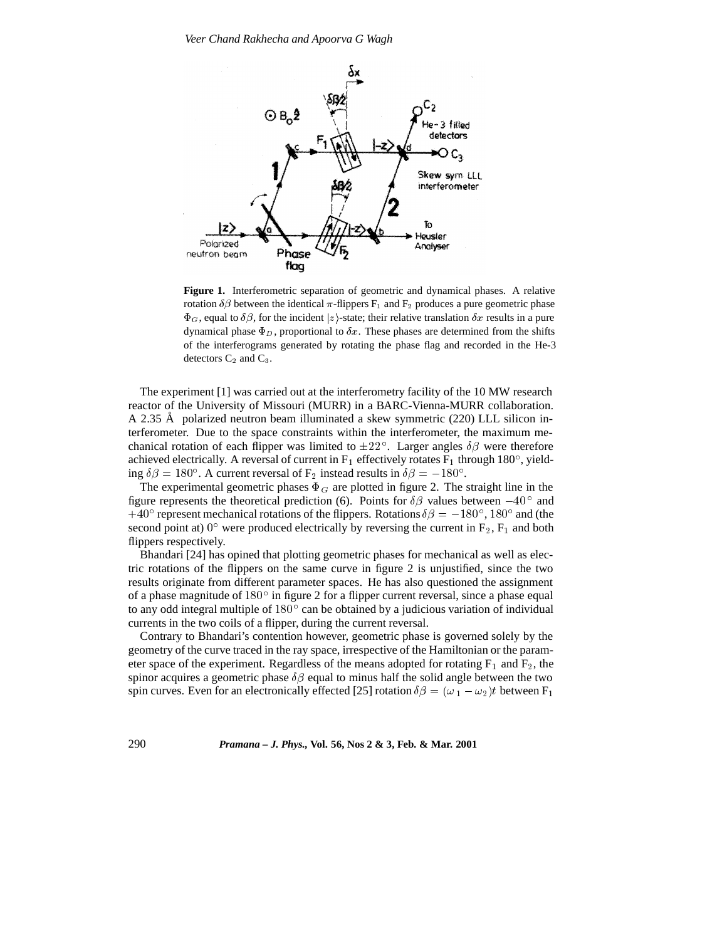

**Figure 1.** Interferometric separation of geometric and dynamical phases. A relative rotation  $\delta\beta$  between the identical  $\pi$ -flippers  $F_1$  and  $F_2$  produces a pure geometric phase  $\Phi_G$ , equal to  $\delta\beta$ , for the incident |z| -state; their relative translation  $\delta x$  results in a pure dynamical phase  $\Phi_D$ , proportional to  $\delta x$ . These phases are determined from the shifts of the interferograms generated by rotating the phase flag and recorded in the He-3 detectors  $C_2$  and  $C_3$ .

The experiment [1] was carried out at the interferometry facility of the 10 MW research reactor of the University of Missouri (MURR) in a BARC-Vienna-MURR collaboration. A 2.35 Å polarized neutron beam illuminated a skew symmetric  $(220)$  LLL silicon interferometer. Due to the space constraints within the interferometer, the maximum mechanical rotation of each flipper was limited to  $\pm 22^{\circ}$ . Larger angles  $\delta\beta$  were therefore achieved electrically. A reversal of current in  $F_1$  effectively rotates  $F_1$  through 180°, yielding  $\delta\beta = 180^\circ$ . A current reversal of F<sub>2</sub> instead results in  $\delta\beta = -180^\circ$ .

The experimental geometric phases  $\Phi_G$  are plotted in figure 2. The straight line in the figure represents the theoretical prediction (6). Points for  $\delta\beta$  values between  $-40^{\circ}$  and +40° represent mechanical rotations of the flippers. Rotations  $\delta\beta = -180^\circ$ , 180° and (the second point at)  $0^{\circ}$  were produced electrically by reversing the current in  $F_2$ ,  $F_1$  and both flippers respectively.

Bhandari [24] has opined that plotting geometric phases for mechanical as well as electric rotations of the flippers on the same curve in figure 2 is unjustified, since the two results originate from different parameter spaces. He has also questioned the assignment of a phase magnitude of  $180^{\circ}$  in figure 2 for a flipper current reversal, since a phase equal to any odd integral multiple of  $180^{\circ}$  can be obtained by a judicious variation of individual currents in the two coils of a flipper, during the current reversal.

Contrary to Bhandari's contention however, geometric phase is governed solely by the geometry of the curve traced in the ray space, irrespective of the Hamiltonian or the parameter space of the experiment. Regardless of the means adopted for rotating  $F_1$  and  $F_2$ , the spinor acquires a geometric phase  $\delta\beta$  equal to minus half the solid angle between the two spin curves. Even for an electronically effected [25] rotation  $\delta\beta = (\omega_1 - \omega_2)t$  between F<sub>1</sub>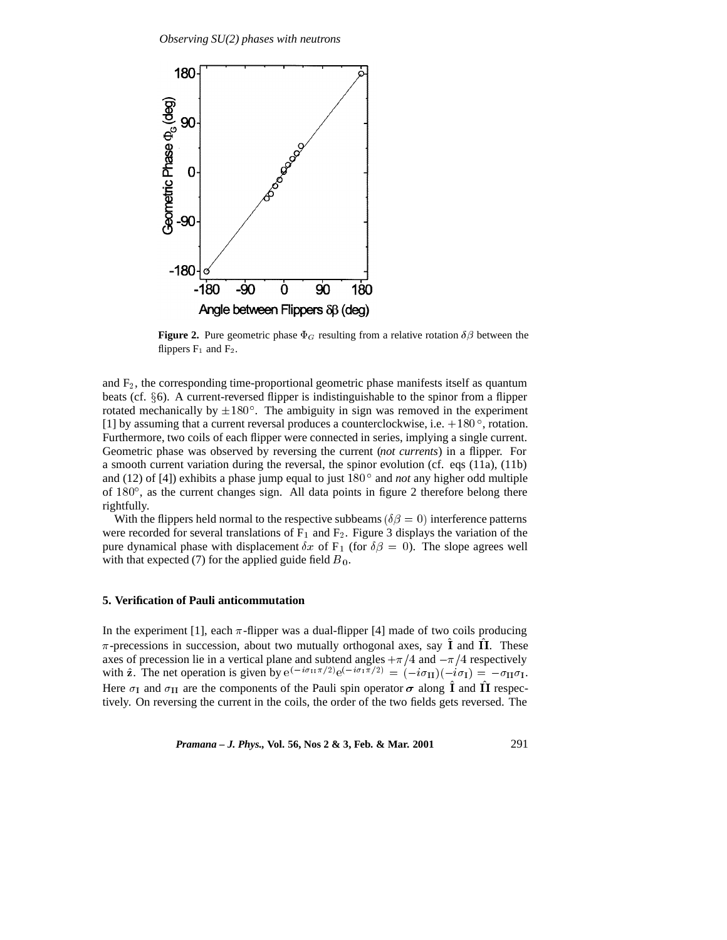

**Figure 2.** Pure geometric phase  $\Phi_G$  resulting from a relative rotation  $\delta\beta$  between the flippers  $F_1$  and  $F_2$ .

and  $F_2$ , the corresponding time-proportional geometric phase manifests itself as quantum beats (cf.  $\S$ 6). A current-reversed flipper is indistinguishable to the spinor from a flipper rotated mechanically by  $\pm 180^{\circ}$ . The ambiguity in sign was removed in the experiment [1] by assuming that a current reversal produces a counterclockwise, i.e.  $+180^{\circ}$ , rotation. Furthermore, two coils of each flipper were connected in series, implying a single current. Geometric phase was observed by reversing the current (*not currents*) in a flipper. For a smooth current variation during the reversal, the spinor evolution (cf. eqs (11a), (11b) and (12) of [4]) exhibits a phase jump equal to just 180<sup>°</sup> and *not* any higher odd multiple of  $180^\circ$ , as the current changes sign. All data points in figure 2 therefore belong there rightfully.

With the flippers held normal to the respective subbeams ( $\delta \beta = 0$ ) interference patterns were recorded for several translations of  $F_1$  and  $F_2$ . Figure 3 displays the variation of the pure dynamical phase with displacement  $\delta x$  of F<sub>1</sub> (for  $\delta \beta = 0$ ). The slope agrees well with that expected (7) for the applied guide field  $B_0$ .

#### **5. Verification of Pauli anticommutation**

In the experiment [1], each  $\pi$ -flipper was a dual-flipper [4] made of two coils producing  $\pi$ -precessions in succession, about two mutually orthogonal axes, say  $\hat{I}$  and  $\hat{II}$ . These axes of precession lie in a vertical plane and subtend angles  $+\pi/4$  and  $-\pi/4$  respectively with  $\hat{\mathbf{z}}$ . The net operation is given by  $e^{(-i\sigma_{\text{II}}\pi/2)}e^{(-i\sigma_{\text{II}}\pi/2)} = (-i\sigma_{\text{II}})(-i\sigma_{\text{I}}) = -\sigma_{\text{II}}\sigma_{\text{I}}$ . Here  $\sigma_{\rm I}$  and  $\sigma_{\rm II}$  are the components of the Pauli spin operator  $\sigma$  along  $\hat{\rm I}$  and  $\hat{\rm II}$  respectively. On reversing the current in the coils, the order of the two fields gets reversed. The

*Pramana – J. Phys.,* **Vol. 56, Nos 2 & 3, Feb. & Mar. 2001** 291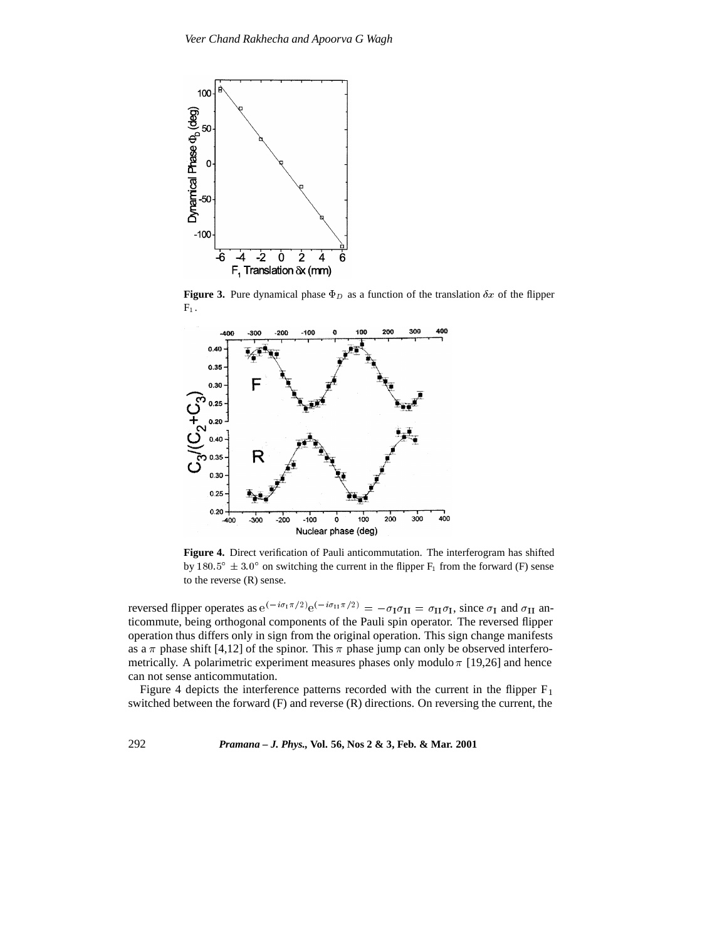

**Figure 3.** Pure dynamical phase  $\Phi_D$  as a function of the translation  $\delta x$  of the flipper  $\mathrm{F}_1$  .



**Figure 4.** Direct verification of Pauli anticommutation. The interferogram has shifted by 180.5°  $\pm$  3.0° on switching the current in the flipper  $F_1$  from the forward (F) sense to the reverse (R) sense.

reversed flipper operates as  $e^{(-i\sigma_1\pi/2)}e^{(-i\sigma_{11}\pi/2)} = -\sigma_1\sigma_{11} = \sigma_{11}\sigma_1$ , since  $\sigma_1$  and  $\sigma_{11}$  anticommute, being orthogonal components of the Pauli spin operator. The reversed flipper operation thus differs only in sign from the original operation. This sign change manifests as a  $\pi$  phase shift [4,12] of the spinor. This  $\pi$  phase jump can only be observed interferometrically. A polarimetric experiment measures phases only modulo  $\pi$  [19,26] and hence can not sense anticommutation.

Figure 4 depicts the interference patterns recorded with the current in the flipper  $F_1$ switched between the forward (F) and reverse (R) directions. On reversing the current, the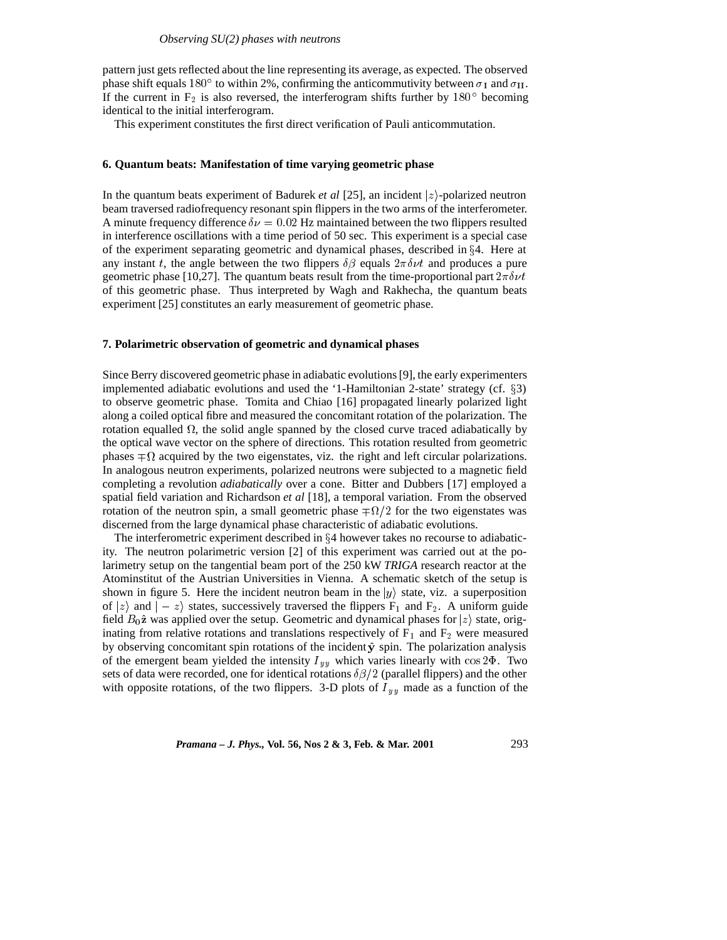pattern just gets reflected about the line representing its average, as expected. The observed phase shift equals 180° to within 2%, confirming the anticommutivity between  $\sigma_1$  and  $\sigma_{II}$ . If the current in  $F_2$  is also reversed, the interferogram shifts further by 180 $\degree$  becoming identical to the initial interferogram.

This experiment constitutes the first direct verification of Pauli anticommutation.

#### **6. Quantum beats: Manifestation of time varying geometric phase**

In the quantum beats experiment of Badurek *et al* [25], an incident  $|z\rangle$ -polarized neutron beam traversed radiofrequency resonant spin flippers in the two arms of the interferometer. A minute frequency difference  $\delta \nu = 0.02$  Hz maintained between the two flippers resulted in interference oscillations with a time period of 50 sec. This experiment is a special case of the experiment separating geometric and dynamical phases, described in  $\S 4$ . Here at any instant t, the angle between the two flippers  $\delta\beta$  equals  $2\pi\delta\nu t$  and produces a pure geometric phase [10,27]. The quantum beats result from the time-proportional part  $2\pi\delta\nu t$ of this geometric phase. Thus interpreted by Wagh and Rakhecha, the quantum beats experiment [25] constitutes an early measurement of geometric phase.

#### **7. Polarimetric observation of geometric and dynamical phases**

Since Berry discovered geometric phase in adiabatic evolutions [9], the early experimenters implemented adiabatic evolutions and used the '1-Hamiltonian 2-state' strategy (cf.  $\S$ 3) to observe geometric phase. Tomita and Chiao [16] propagated linearly polarized light along a coiled optical fibre and measured the concomitant rotation of the polarization. The rotation equalled  $\Omega$ , the solid angle spanned by the closed curve traced adiabatically by the optical wave vector on the sphere of directions. This rotation resulted from geometric phases  $\mp \Omega$  acquired by the two eigenstates, viz. the right and left circular polarizations. In analogous neutron experiments, polarized neutrons were subjected to a magnetic field completing a revolution *adiabatically* over a cone. Bitter and Dubbers [17] employed a spatial field variation and Richardson *et al* [18], a temporal variation. From the observed rotation of the neutron spin, a small geometric phase  $\mp \Omega/2$  for the two eigenstates was discerned from the large dynamical phase characteristic of adiabatic evolutions.

The interferometric experiment described in  $\S 4$  however takes no recourse to adiabaticity. The neutron polarimetric version [2] of this experiment was carried out at the polarimetry setup on the tangential beam port of the 250 kW *TRIGA* research reactor at the Atominstitut of the Austrian Universities in Vienna. A schematic sketch of the setup is shown in figure 5. Here the incident neutron beam in the  $|y\rangle$  state, viz. a superposition of  $|z\rangle$  and  $|-z\rangle$  states, successively traversed the flippers F<sub>1</sub> and F<sub>2</sub>. A uniform guide field  $B_0\hat{z}$  was applied over the setup. Geometric and dynamical phases for  $|z\rangle$  state, originating from relative rotations and translations respectively of  $F_1$  and  $F_2$  were measured by observing concomitant spin rotations of the incident  $\hat{y}$  spin. The polarization analysis of the emergent beam yielded the intensity  $I_{yy}$  which varies linearly with cos 2 $\Phi$ . Two sets of data were recorded, one for identical rotations  $\delta\beta/2$  (parallel flippers) and the other with opposite rotations, of the two flippers. 3-D plots of  $I_{yy}$  made as a function of the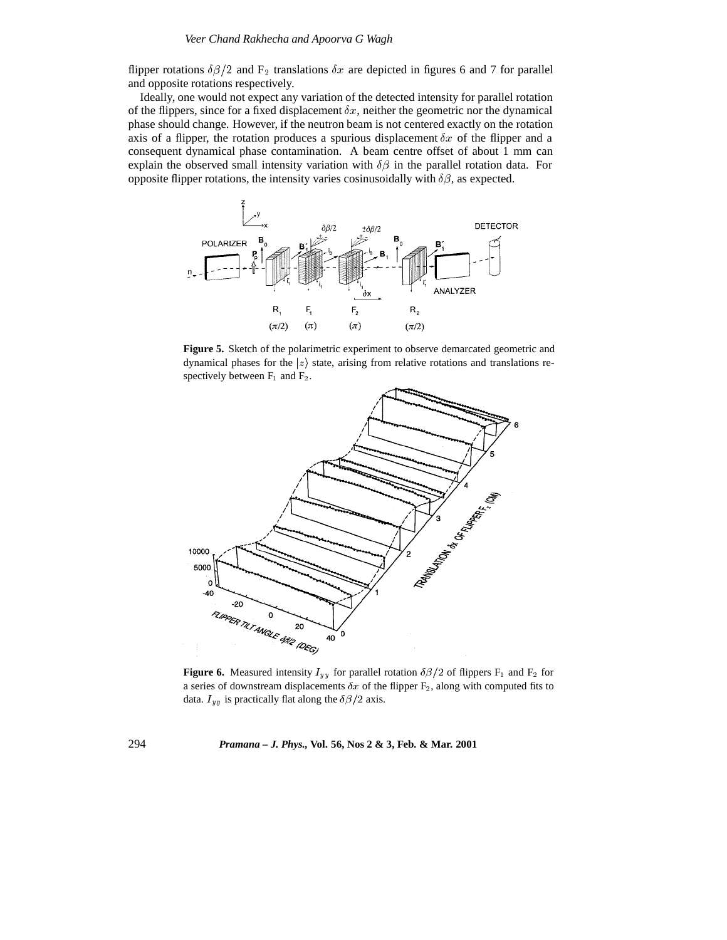flipper rotations  $\delta\beta/2$  and F<sub>2</sub> translations  $\delta x$  are depicted in figures 6 and 7 for parallel and opposite rotations respectively.

Ideally, one would not expect any variation of the detected intensity for parallel rotation of the flippers, since for a fixed displacement  $\delta x$ , neither the geometric nor the dynamical phase should change. However, if the neutron beam is not centered exactly on the rotation axis of a flipper, the rotation produces a spurious displacement  $\delta x$  of the flipper and a consequent dynamical phase contamination. A beam centre offset of about 1 mm can explain the observed small intensity variation with  $\delta\beta$  in the parallel rotation data. For opposite flipper rotations, the intensity varies cosinusoidally with  $\delta\beta$ , as expected.



**Figure 5.** Sketch of the polarimetric experiment to observe demarcated geometric and dynamical phases for the  $|z\rangle$  state, arising from relative rotations and translations respectively between  $F_1$  and  $F_2$ .



**Figure 6.** Measured intensity  $I_{yy}$  for parallel rotation  $\delta\beta/2$  of flippers F<sub>1</sub> and F<sub>2</sub> for a series of downstream displacements  $\delta x$  of the flipper  $F_2$ , along with computed fits to data.  $I_{yy}$  is practically flat along the  $\delta\beta/2$  axis.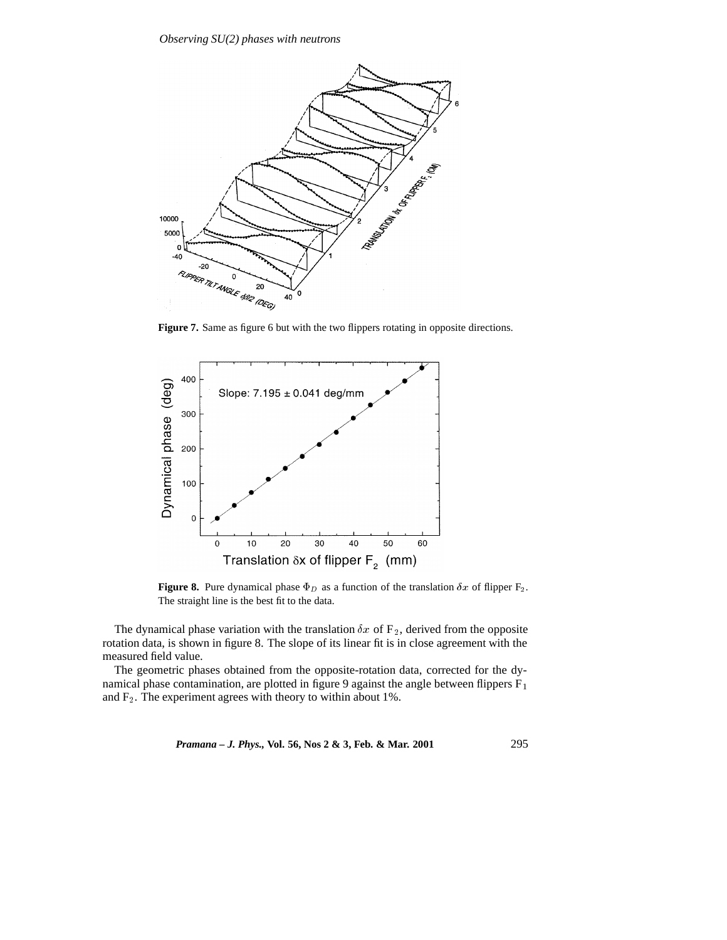

Figure 7. Same as figure 6 but with the two flippers rotating in opposite directions.



**Figure 8.** Pure dynamical phase  $\Phi_D$  as a function of the translation  $\delta x$  of flipper  $F_2$ . The straight line is the best fit to the data.

The dynamical phase variation with the translation  $\delta x$  of  $F_2$ , derived from the opposite rotation data, is shown in figure 8. The slope of its linear fit is in close agreement with the measured field value.

The geometric phases obtained from the opposite-rotation data, corrected for the dynamical phase contamination, are plotted in figure 9 against the angle between flippers  $F_1$ and  $F_2$ . The experiment agrees with theory to within about 1%.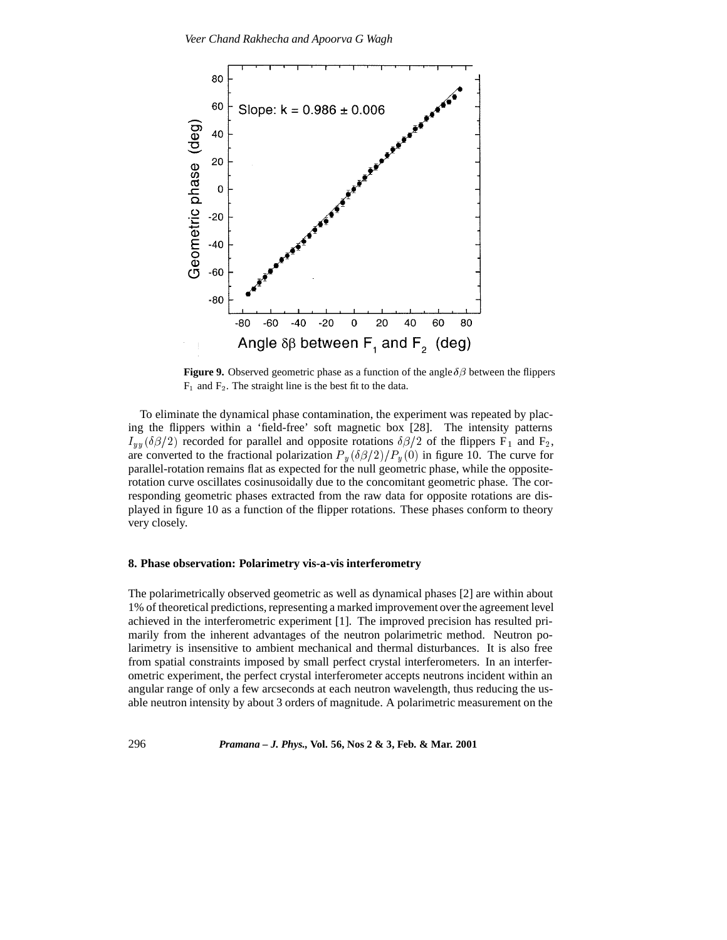

**Figure 9.** Observed geometric phase as a function of the angle  $\delta\beta$  between the flippers  $F_1$  and  $F_2$ . The straight line is the best fit to the data.

To eliminate the dynamical phase contamination, the experiment was repeated by placing the flippers within a 'field-free' soft magnetic box [28]. The intensity patterns  $I_{yy}(\delta\beta/2)$  recorded for parallel and opposite rotations  $\delta\beta/2$  of the flippers F<sub>1</sub> and F<sub>2</sub>, are converted to the fractional polarization  $P_y(\delta \beta/2)/P_y(0)$  in figure 10. The curve for parallel-rotation remains flat as expected for the null geometric phase, while the oppositerotation curve oscillates cosinusoidally due to the concomitant geometric phase. The corresponding geometric phases extracted from the raw data for opposite rotations are displayed in figure 10 as a function of the flipper rotations. These phases conform to theory very closely.

#### **8. Phase observation: Polarimetry vis-a-vis interferometry**

The polarimetrically observed geometric as well as dynamical phases [2] are within about 1% of theoretical predictions, representing a marked improvement over the agreement level achieved in the interferometric experiment [1]. The improved precision has resulted primarily from the inherent advantages of the neutron polarimetric method. Neutron polarimetry is insensitive to ambient mechanical and thermal disturbances. It is also free from spatial constraints imposed by small perfect crystal interferometers. In an interferometric experiment, the perfect crystal interferometer accepts neutrons incident within an angular range of only a few arcseconds at each neutron wavelength, thus reducing the usable neutron intensity by about 3 orders of magnitude. A polarimetric measurement on the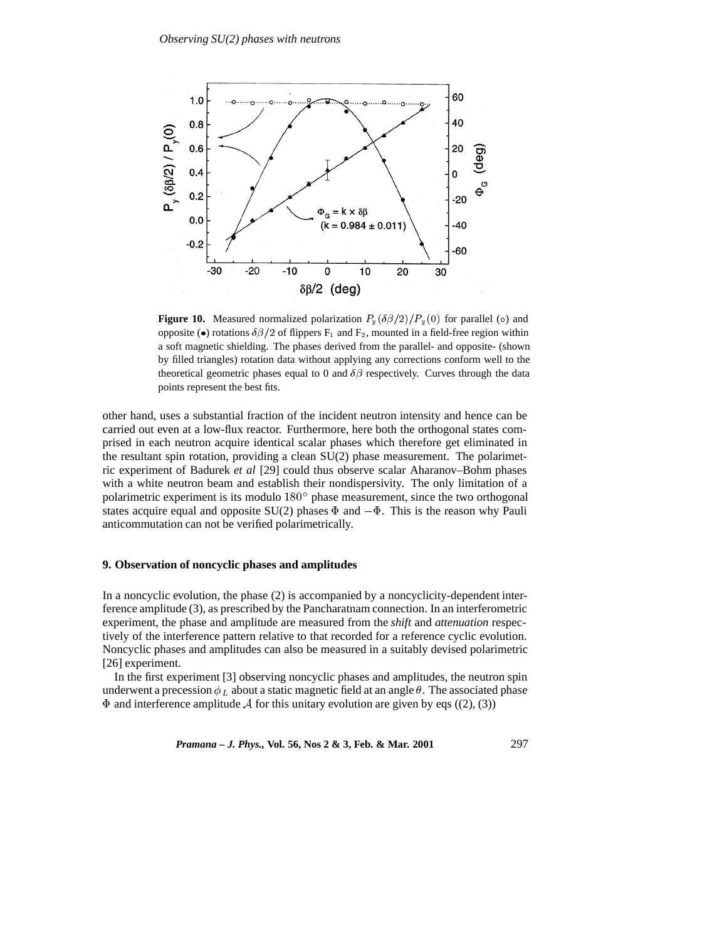

**Figure 10.** Measured normalized polarization  $P_y(\delta\beta/2)/P_y(0)$  for parallel ( $\circ$ ) and opposite ( $\bullet$ ) rotations  $\delta\beta/2$  of flippers F<sub>1</sub> and F<sub>2</sub>, mounted in a field-free region within a soft magnetic shielding. The phases derived from the parallel- and opposite- (shown by filled triangles) rotation data without applying any corrections conform well to the theoretical geometric phases equal to 0 and  $\delta\beta$  respectively. Curves through the data points represent the best fits.

other hand, uses a substantial fraction of the incident neutron intensity and hence can be carried out even at a low-flux reactor. Furthermore, here both the orthogonal states comprised in each neutron acquire identical scalar phases which therefore get eliminated in the resultant spin rotation, providing a clean SU(2) phase measurement. The polarimetric experiment of Badurek *et al* [29] could thus observe scalar Aharanov–Bohm phases with a white neutron beam and establish their nondispersivity. The only limitation of a polarimetric experiment is its modulo 180° phase measurement, since the two orthogonal states acquire equal and opposite SU(2) phases  $\Phi$  and  $-\Phi$ . This is the reason why Pauli anticommutation can not be verified polarimetrically.

# **9. Observation of noncyclic phases and amplitudes**

In a noncyclic evolution, the phase (2) is accompanied by a noncyclicity-dependent interference amplitude (3), as prescribed by the Pancharatnam connection. In an interferometric experiment, the phase and amplitude are measured from the *shift* and *attenuation* respectively of the interference pattern relative to that recorded for a reference cyclic evolution. Noncyclic phases and amplitudes can also be measured in a suitably devised polarimetric [26] experiment.

In the first experiment [3] observing noncyclic phases and amplitudes, the neutron spin underwent a precession  $\phi_L$  about a static magnetic field at an angle  $\theta$ . The associated phase  $\Phi$  and interference amplitude  $\mathcal A$  for this unitary evolution are given by eqs ((2), (3))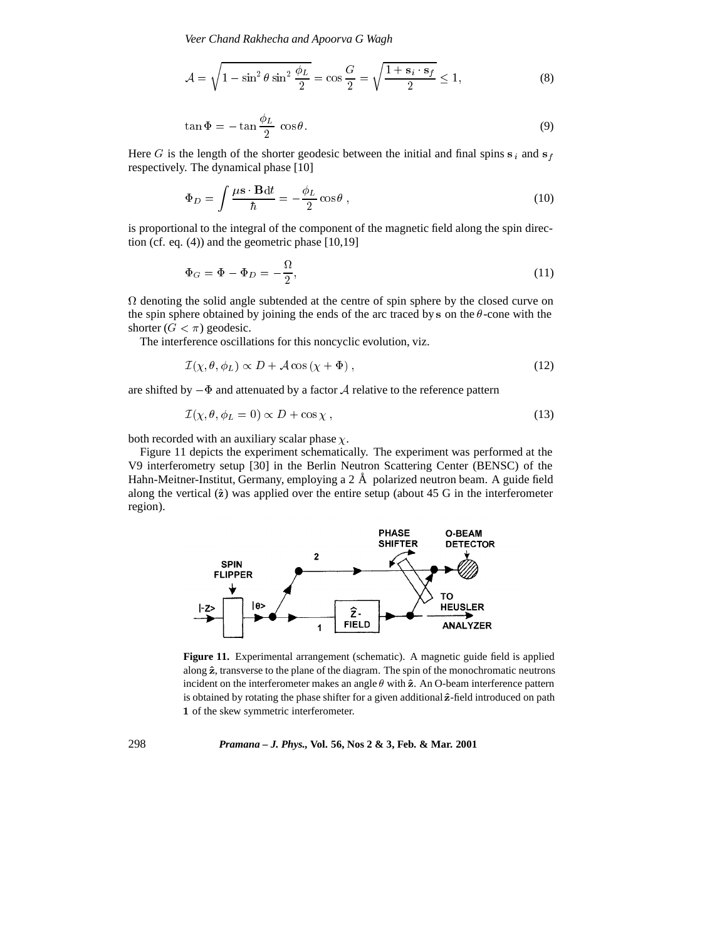*Veer Chand Rakhecha and Apoorva G Wagh*

$$
\mathcal{A} = \sqrt{1 - \sin^2 \theta \sin^2 \frac{\phi_L}{2}} = \cos \frac{G}{2} = \sqrt{\frac{1 + \mathbf{s}_i \cdot \mathbf{s}_f}{2}} \le 1,\tag{8}
$$

$$
\tan \Phi = -\tan \frac{\phi_L}{2} \cos \theta. \tag{9}
$$

Here G is the length of the shorter geodesic between the initial and final spins  $s_i$  and  $s_f$ respectively. The dynamical phase [10]

$$
\Phi_D = \int \frac{\mu \mathbf{s} \cdot \mathbf{B} dt}{\hbar} = -\frac{\phi_L}{2} \cos \theta , \qquad (10)
$$

is proportional to the integral of the component of the magnetic field along the spin direction (cf. eq. (4)) and the geometric phase [10,19]

$$
\Phi_G = \Phi - \Phi_D = -\frac{\Omega}{2},\tag{11}
$$

 $\Omega$  denoting the solid angle subtended at the centre of spin sphere by the closed curve on the spin sphere obtained by joining the ends of the arc traced by s on the  $\theta$ -cone with the shorter  $(G < \pi)$  geodesic.

The interference oscillations for this noncyclic evolution, viz.

$$
\mathcal{I}(\chi,\theta,\phi_L) \propto D + \mathcal{A}\cos\left(\chi + \Phi\right),\tag{12}
$$

are shifted by  $-\Phi$  and attenuated by a factor A relative to the reference pattern

$$
\mathcal{I}(\chi, \theta, \phi_L = 0) \propto D + \cos \chi \,, \tag{13}
$$

both recorded with an auxiliary scalar phase  $\chi$ .

Figure 11 depicts the experiment schematically. The experiment was performed at the V9 interferometry setup [30] in the Berlin Neutron Scattering Center (BENSC) of the Hahn-Meitner-Institut, Germany, employing a  $2 \text{ Å}$  polarized neutron beam. A guide field along the vertical  $(\hat{z})$  was applied over the entire setup (about 45 G in the interferometer region).



**Figure 11.** Experimental arrangement (schematic). A magnetic guide field is applied along  $\hat{z}$ , transverse to the plane of the diagram. The spin of the monochromatic neutrons incident on the interferometer makes an angle  $\theta$  with  $\hat{z}$ . An O-beam interference pattern is obtained by rotating the phase shifter for a given additional  $\hat{z}$ -field introduced on path <sup>1</sup> of the skew symmetric interferometer.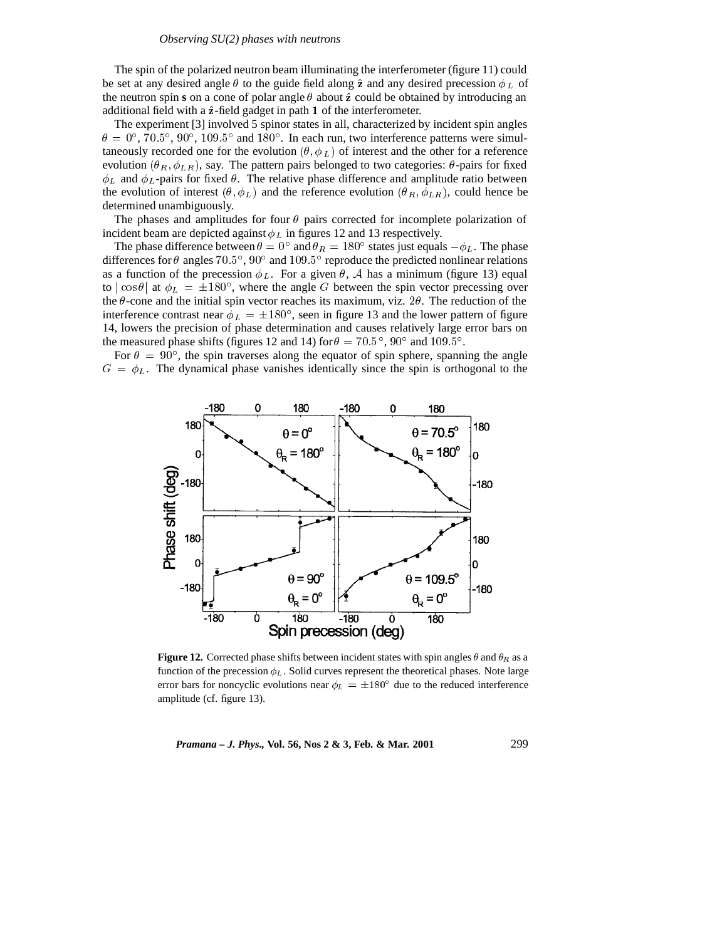The spin of the polarized neutron beam illuminating the interferometer (figure 11) could be set at any desired angle  $\theta$  to the guide field along  $\hat{z}$  and any desired precession  $\phi_L$  of the neutron spin **s** on a cone of polar angle  $\theta$  about  $\hat{z}$  could be obtained by introducing an additional field with a  $\hat{z}$ -field gadget in path 1 of the interferometer.

The experiment [3] involved 5 spinor states in all, characterized by incident spin angles  $\theta = 0^{\circ}$ ,  $70.5^{\circ}$ ,  $90^{\circ}$ ,  $109.5^{\circ}$  and  $180^{\circ}$ . In each run, two interference patterns were simultaneously recorded one for the evolution  $(\theta, \phi_L)$  of interest and the other for a reference evolution  $(\theta_R, \phi_{LR})$ , say. The pattern pairs belonged to two categories:  $\theta$ -pairs for fixed  $\phi_L$  and  $\phi_L$ -pairs for fixed  $\theta$ . The relative phase difference and amplitude ratio between the evolution of interest  $(\theta, \phi_L)$  and the reference evolution  $(\theta_R, \phi_{LR})$ , could hence be determined unambiguously.

The phases and amplitudes for four  $\theta$  pairs corrected for incomplete polarization of incident beam are depicted against  $\phi_L$  in figures 12 and 13 respectively.

The phase difference between  $\theta = 0^{\circ}$  and  $\theta_R = 180^{\circ}$  states just equals  $-\phi_L$ . The phase differences for  $\theta$  angles 70.5°, 90° and 109.5° reproduce the predicted nonlinear relations as a function of the precession  $\phi_L$ . For a given  $\theta$ , A has a minimum (figure 13) equal to  $|\cos \theta|$  at  $\phi_L = \pm 180^\circ$ , where the angle G between the spin vector precessing over the  $\theta$ -cone and the initial spin vector reaches its maximum, viz. 2 $\theta$ . The reduction of the interference contrast near  $\phi_L = \pm 180^\circ$ , seen in figure 13 and the lower pattern of figure 14, lowers the precision of phase determination and causes relatively large error bars on the measured phase shifts (figures 12 and 14) for  $\theta = 70.5^{\circ}$ , 90° and 109.5°.

For  $\theta = 90^{\circ}$ , the spin traverses along the equator of spin sphere, spanning the angle  $G = \phi_L$ . The dynamical phase vanishes identically since the spin is orthogonal to the



**Figure 12.** Corrected phase shifts between incident states with spin angles  $\theta$  and  $\theta_R$  as a function of the precession  $\phi_L$ . Solid curves represent the theoretical phases. Note large error bars for noncyclic evolutions near  $\phi_L = \pm 180^\circ$  due to the reduced interference amplitude (cf. figure 13).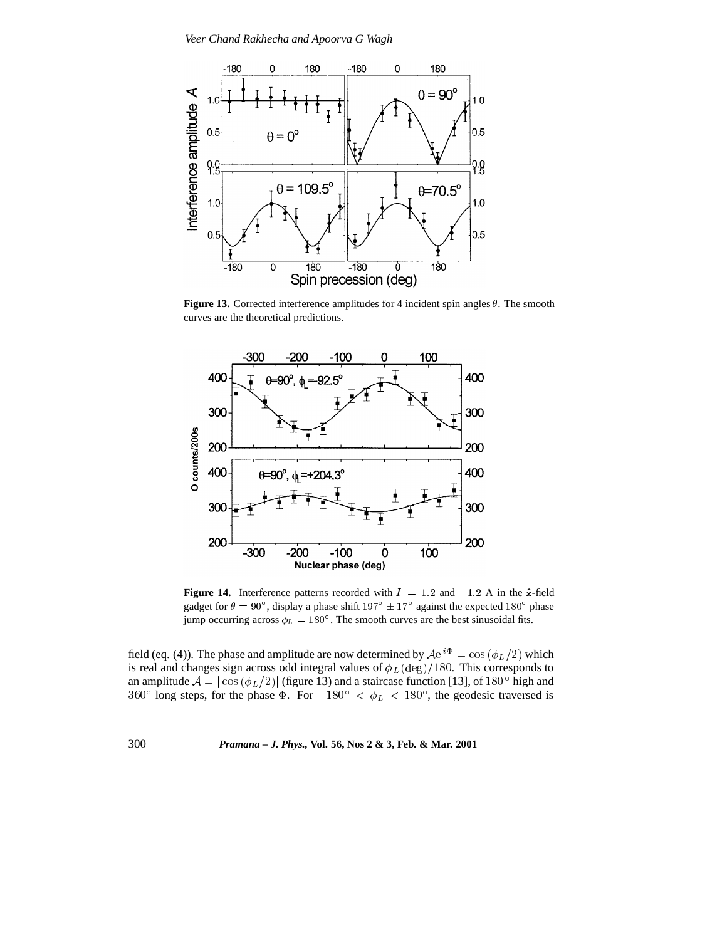

**Figure 13.** Corrected interference amplitudes for 4 incident spin angles  $\theta$ . The smooth curves are the theoretical predictions.



**Figure 14.** Interference patterns recorded with  $I = 1.2$  and  $-1.2$  A in the  $\hat{z}$ -field gadget for  $\theta = 90^{\circ}$ , display a phase shift  $197^{\circ} \pm 17^{\circ}$  against the expected  $180^{\circ}$  phase jump occurring across  $\phi_L = 180^\circ$ . The smooth curves are the best sinusoidal fits.

field (eq. (4)). The phase and amplitude are now determined by  $Ae^{i\Phi} = \cos(\phi_L/2)$  which is real and changes sign across odd integral values of  $\phi_L(\text{deg})/180$ . This corresponds to an amplitude  $A = |\cos(\phi_L/2)|$  (figure 13) and a staircase function [13], of 180 $^{\circ}$  high and 360° long steps, for the phase  $\Phi$ . For  $-180^{\circ} < \phi_L < 180^{\circ}$ , the geodesic traversed is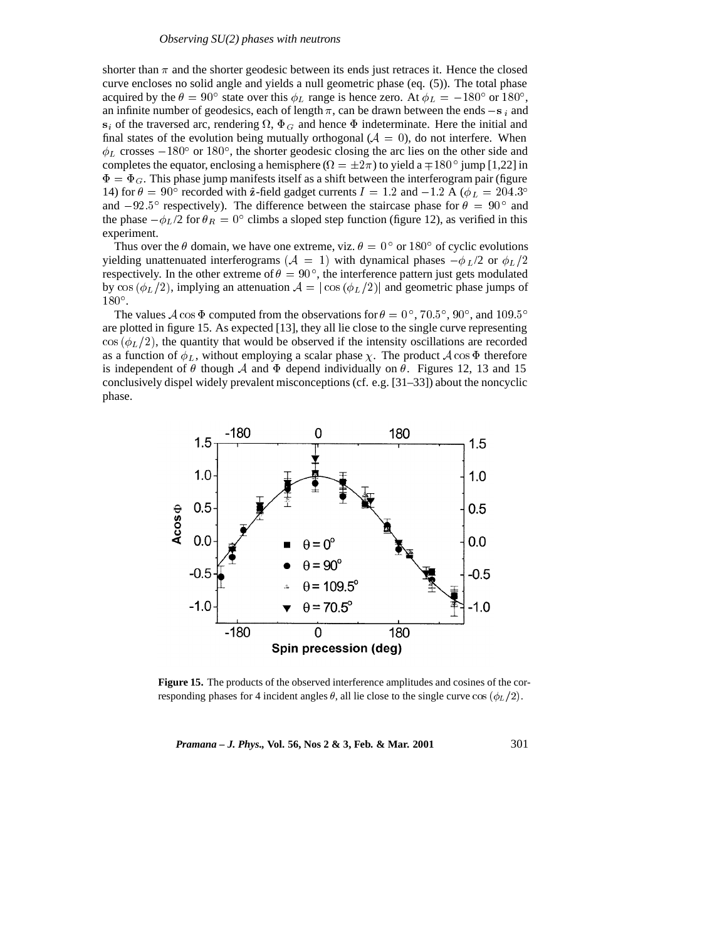shorter than  $\pi$  and the shorter geodesic between its ends just retraces it. Hence the closed curve encloses no solid angle and yields a null geometric phase (eq. (5)). The total phase acquired by the  $\theta = 90^{\circ}$  state over this  $\phi_L$  range is hence zero. At  $\phi_L = -180^{\circ}$  or  $180^{\circ}$ , an infinite number of geodesics, each of length  $\pi$ , can be drawn between the ends  $-s_i$  and  $s_i$  of the traversed arc, rendering  $\Omega$ ,  $\Phi_G$  and hence  $\Phi$  indeterminate. Here the initial and final states of the evolution being mutually orthogonal ( $A = 0$ ), do not interfere. When  $\phi_L$  crosses  $-180^\circ$  or  $180^\circ$ , the shorter geodesic closing the arc lies on the other side and completes the equator, enclosing a hemisphere ( $\Omega = \pm 2\pi$ ) to yield a  $\mp 180^{\circ}$  jump [1,22] in  $\Phi = \Phi_G$ . This phase jump manifests itself as a shift between the interferogram pair (figure 14) for  $\theta = 90^\circ$  recorded with  $\hat{z}$ -field gadget currents  $I = 1.2$  and  $-1.2$  A ( $\phi_L = 204.3^\circ$ and  $-92.5^{\circ}$  respectively). The difference between the staircase phase for  $\theta = 90^{\circ}$  and the phase  $-\phi_L/2$  for  $\theta_R = 0^\circ$  climbs a sloped step function (figure 12), as verified in this experiment.

Thus over the  $\theta$  domain, we have one extreme, viz.  $\theta = 0^{\circ}$  or 180° of cyclic evolutions yielding unattenuated interferograms ( $A = 1$ ) with dynamical phases  $-\phi_L/2$  or  $\phi_L/2$ respectively. In the other extreme of  $\theta = 90^{\circ}$ , the interference pattern just gets modulated by cos ( $\phi_L/2$ ), implying an attenuation  $A = |\cos(\phi_L/2)|$  and geometric phase jumps of  $180^{\circ}$ .

The values A cos  $\Phi$  computed from the observations for  $\theta = 0^{\circ}$ , 70.5°, 90°, and 109.5° are plotted in figure 15. As expected [13], they all lie close to the single curve representing  $\cos (\phi_L/2)$ , the quantity that would be observed if the intensity oscillations are recorded as a function of  $\phi_L$ , without employing a scalar phase  $\chi$ . The product  $\mathcal A$  cos  $\Phi$  therefore is independent of  $\theta$  though A and  $\Phi$  depend individually on  $\theta$ . Figures 12, 13 and 15 conclusively dispel widely prevalent misconceptions (cf. e.g. [31–33]) about the noncyclic phase.



**Figure 15.** The products of the observed interference amplitudes and cosines of the corresponding phases for 4 incident angles  $\theta$ , all lie close to the single curve cos  $(\phi_L/2)$ .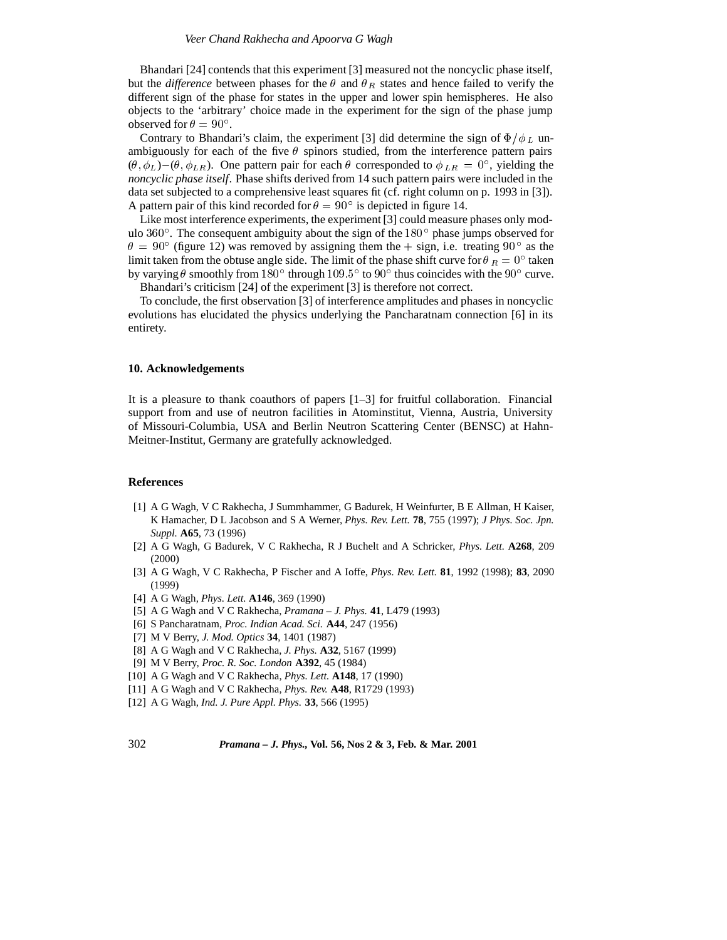Bhandari [24] contends that this experiment [3] measured not the noncyclic phase itself, but the *difference* between phases for the  $\theta$  and  $\theta_R$  states and hence failed to verify the different sign of the phase for states in the upper and lower spin hemispheres. He also objects to the 'arbitrary' choice made in the experiment for the sign of the phase jump observed for  $\theta = 90^{\circ}$ .

Contrary to Bhandari's claim, the experiment [3] did determine the sign of  $\Phi/\phi_L$  unambiguously for each of the five  $\theta$  spinors studied, from the interference pattern pairs  $(\theta, \phi_L)$  –  $(\theta, \phi_{LR})$ . One pattern pair for each  $\theta$  corresponded to  $\phi_{LR} = 0^{\circ}$ , yielding the *noncyclic phase itself*. Phase shifts derived from 14 such pattern pairs were included in the data set subjected to a comprehensive least squares fit (cf. right column on p. 1993 in [3]). A pattern pair of this kind recorded for  $\theta = 90^{\circ}$  is depicted in figure 14.

Like most interference experiments, the experiment [3] could measure phases only modulo  $360^\circ$ . The consequent ambiguity about the sign of the  $180^\circ$  phase jumps observed for  $\theta = 90^{\circ}$  (figure 12) was removed by assigning them the  $+$  sign, i.e. treating 90 $^{\circ}$  as the limit taken from the obtuse angle side. The limit of the phase shift curve for  $\theta_R = 0^\circ$  taken by varying  $\theta$  smoothly from 180 $^{\circ}$  through 109.5 $^{\circ}$  to 90 $^{\circ}$  thus coincides with the 90 $^{\circ}$  curve. Bhandari's criticism [24] of the experiment [3] is therefore not correct.

To conclude, the first observation [3] of interference amplitudes and phases in noncyclic evolutions has elucidated the physics underlying the Pancharatnam connection [6] in its entirety.

#### **10. Acknowledgements**

It is a pleasure to thank coauthors of papers [1–3] for fruitful collaboration. Financial support from and use of neutron facilities in Atominstitut, Vienna, Austria, University of Missouri-Columbia, USA and Berlin Neutron Scattering Center (BENSC) at Hahn-Meitner-Institut, Germany are gratefully acknowledged.

#### **References**

- [1] A G Wagh, V C Rakhecha, J Summhammer, G Badurek, H Weinfurter, B E Allman, H Kaiser, K Hamacher, D L Jacobson and S A Werner, *Phys. Rev. Lett.* **78**, 755 (1997); *J Phys. Soc. Jpn. Suppl.* **A65**, 73 (1996)
- [2] A G Wagh, G Badurek, V C Rakhecha, R J Buchelt and A Schricker, *Phys. Lett.* **A268**, 209 (2000)
- [3] A G Wagh, V C Rakhecha, P Fischer and A Ioffe, *Phys. Rev. Lett.* **81**, 1992 (1998); **83**, 2090 (1999)
- [4] A G Wagh, *Phys. Lett.* **A146**, 369 (1990)
- [5] A G Wagh and V C Rakhecha, *Pramana J. Phys.* **41**, L479 (1993)
- [6] S Pancharatnam, *Proc. Indian Acad. Sci.* **A44**, 247 (1956)
- [7] M V Berry, *J. Mod. Optics* **34**, 1401 (1987)
- [8] A G Wagh and V C Rakhecha, *J. Phys.* **A32**, 5167 (1999)
- [9] M V Berry, *Proc. R. Soc. London* **A392**, 45 (1984)
- [10] A G Wagh and V C Rakhecha, *Phys. Lett.* **A148**, 17 (1990)
- [11] A G Wagh and V C Rakhecha, *Phys. Rev.* **A48**, R1729 (1993)
- [12] A G Wagh, *Ind. J. Pure Appl. Phys.* **33**, 566 (1995)